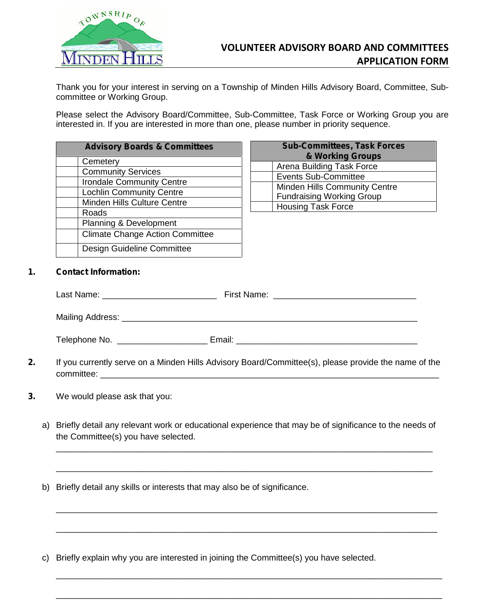

Thank you for your interest in serving on a Township of Minden Hills Advisory Board, Committee, Sub committee or Working Group.

Please select the Advisory Board/Committee, Sub-Committee, Task Force or Working Group you are interested in. If you are interested in more than one, please number in priority sequence.

| <b>Advisory Boards &amp; Committees</b> |                                        |  |  |
|-----------------------------------------|----------------------------------------|--|--|
|                                         | Cemetery                               |  |  |
|                                         | <b>Community Services</b>              |  |  |
|                                         | <b>Irondale Community Centre</b>       |  |  |
|                                         | <b>Lochlin Community Centre</b>        |  |  |
|                                         | Minden Hills Culture Centre            |  |  |
|                                         | Roads                                  |  |  |
|                                         | <b>Planning &amp; Development</b>      |  |  |
|                                         | <b>Climate Change Action Committee</b> |  |  |
|                                         | Design Guideline Committee             |  |  |

| <b>Sub-Committees, Task Forces</b><br>& Working Groups |                                      |  |  |
|--------------------------------------------------------|--------------------------------------|--|--|
|                                                        | Arena Building Task Force            |  |  |
|                                                        | <b>Events Sub-Committee</b>          |  |  |
|                                                        | <b>Minden Hills Community Centre</b> |  |  |
|                                                        | <b>Fundraising Working Group</b>     |  |  |
|                                                        | <b>Housing Task Force</b>            |  |  |

## **1. Contact Information:**

| Last Name:       | First Name: |
|------------------|-------------|
| Mailing Address: |             |
| Telephone No.    | Email:      |

- **2.** If you currently serve on a Minden Hills Advisory Board/Committee(s), please provide the name of the committee:  $\blacksquare$
- **3.** We would please ask that you:
	- a) Briefly detail any relevant work or educational experience that may be of significance to the needs of the Committee(s) you have selected.

\_\_\_\_\_\_\_\_\_\_\_\_\_\_\_\_\_\_\_\_\_\_\_\_\_\_\_\_\_\_\_\_\_\_\_\_\_\_\_\_\_\_\_\_\_\_\_\_\_\_\_\_\_\_\_\_\_\_\_\_\_\_\_\_\_\_\_\_\_\_\_\_\_\_\_\_\_\_\_

\_\_\_\_\_\_\_\_\_\_\_\_\_\_\_\_\_\_\_\_\_\_\_\_\_\_\_\_\_\_\_\_\_\_\_\_\_\_\_\_\_\_\_\_\_\_\_\_\_\_\_\_\_\_\_\_\_\_\_\_\_\_\_\_\_\_\_\_\_\_\_\_\_\_\_\_\_\_\_

\_\_\_\_\_\_\_\_\_\_\_\_\_\_\_\_\_\_\_\_\_\_\_\_\_\_\_\_\_\_\_\_\_\_\_\_\_\_\_\_\_\_\_\_\_\_\_\_\_\_\_\_\_\_\_\_\_\_\_\_\_\_\_\_\_\_\_\_\_\_\_\_\_\_\_\_\_\_\_\_

\_\_\_\_\_\_\_\_\_\_\_\_\_\_\_\_\_\_\_\_\_\_\_\_\_\_\_\_\_\_\_\_\_\_\_\_\_\_\_\_\_\_\_\_\_\_\_\_\_\_\_\_\_\_\_\_\_\_\_\_\_\_\_\_\_\_\_\_\_\_\_\_\_\_\_\_\_\_\_\_

\_\_\_\_\_\_\_\_\_\_\_\_\_\_\_\_\_\_\_\_\_\_\_\_\_\_\_\_\_\_\_\_\_\_\_\_\_\_\_\_\_\_\_\_\_\_\_\_\_\_\_\_\_\_\_\_\_\_\_\_\_\_\_\_\_\_\_\_\_\_\_\_\_\_\_\_\_\_\_\_\_

\_\_\_\_\_\_\_\_\_\_\_\_\_\_\_\_\_\_\_\_\_\_\_\_\_\_\_\_\_\_\_\_\_\_\_\_\_\_\_\_\_\_\_\_\_\_\_\_\_\_\_\_\_\_\_\_\_\_\_\_\_\_\_\_\_\_\_\_\_\_\_\_\_\_\_\_\_\_\_\_\_

- b) Briefly detail any skills or interests that may also be of significance.
- c) Briefly explain why you are interested in joining the Committee(s) you have selected.